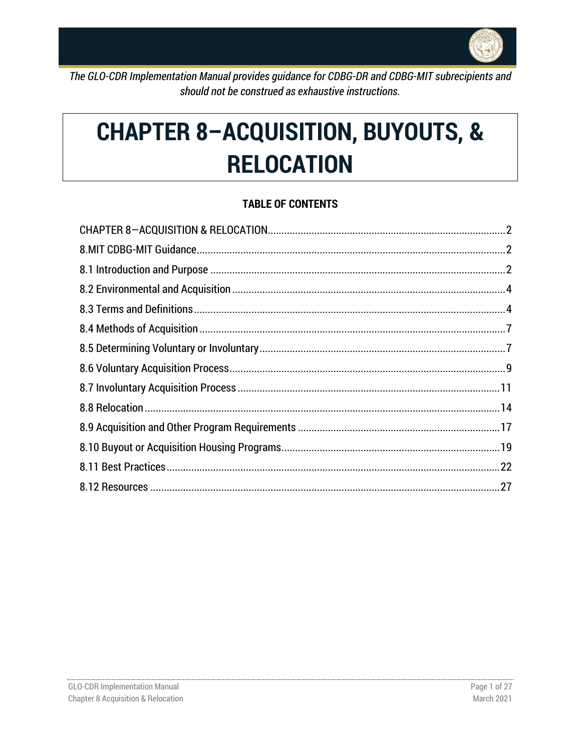

The GLO-CDR Implementation Manual provides guidance for CDBG-DR and CDBG-MIT subrecipients and should not be construed as exhaustive instructions.

# **CHAPTER 8-ACQUISITION, BUYOUTS, & RELOCATION**

# **TABLE OF CONTENTS**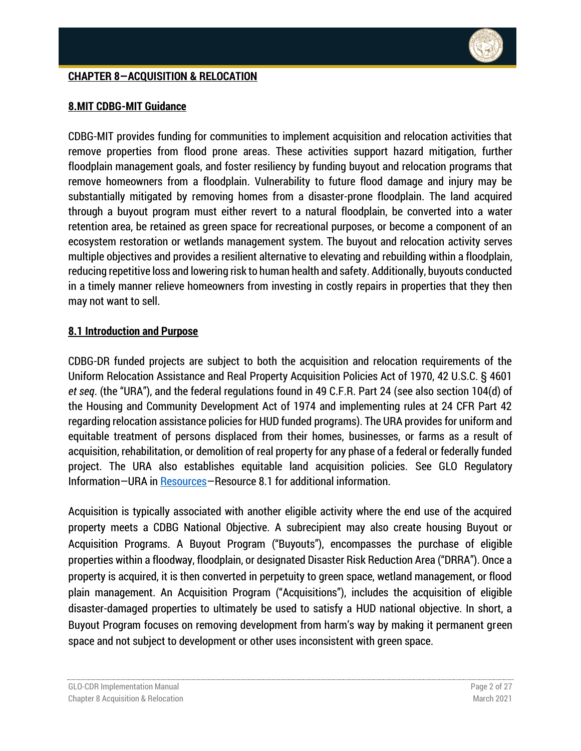## <span id="page-1-0"></span>**CHAPTER 8—ACQUISITION & RELOCATION**

## <span id="page-1-1"></span>**8.MIT CDBG-MIT Guidance**

CDBG-MIT provides funding for communities to implement acquisition and relocation activities that remove properties from flood prone areas. These activities support hazard mitigation, further floodplain management goals, and foster resiliency by funding buyout and relocation programs that remove homeowners from a floodplain. Vulnerability to future flood damage and injury may be substantially mitigated by removing homes from a disaster-prone floodplain. The land acquired through a buyout program must either revert to a natural floodplain, be converted into a water retention area, be retained as green space for recreational purposes, or become a component of an ecosystem restoration or wetlands management system. The buyout and relocation activity serves multiple objectives and provides a resilient alternative to elevating and rebuilding within a floodplain, reducing repetitive loss and lowering risk to human health and safety. Additionally, buyouts conducted in a timely manner relieve homeowners from investing in costly repairs in properties that they then may not want to sell.

### <span id="page-1-2"></span>**8.1 Introduction and Purpose**

CDBG-DR funded projects are subject to both the acquisition and relocation requirements of the Uniform Relocation Assistance and Real [Property Acquisition Policies Act of 1970, 42 U.S.C. § 4601](http://uscode.house.gov/view.xhtml?path=/prelim@title42/chapter61&edition=prelim)  *[et seq](http://uscode.house.gov/view.xhtml?path=/prelim@title42/chapter61&edition=prelim)*[.](http://uscode.house.gov/view.xhtml?path=/prelim@title42/chapter61&edition=prelim) (the "URA"), and the federal regulations found in 49 C.F.R. Part 24 (see also section 104(d) of the Housing and Community Development Act of 1974 and implementing rules at 24 CFR Part 42 regarding relocation assistance policies for HUD funded programs). The URA provides for uniform and equitable treatment of persons displaced from their homes, businesses, or farms as a result of acquisition, rehabilitation, or demolition of real property for any phase of a federal or federally funded project. The URA also establishes equitable land acquisition policies. See GLO Regulatory Information—URA in [Resources](#page-26-0)—Resource 8.1 for additional information.

Acquisition is typically associated with another eligible activity where the end use of the acquired property meets a CDBG National Objective. A subrecipient may also create housing Buyout or Acquisition Programs. A Buyout Program ("Buyouts"), encompasses the purchase of eligible properties within a floodway, floodplain, or designated Disaster Risk Reduction Area ("DRRA"). Once a property is acquired, it is then converted in perpetuity to green space, wetland management, or flood plain management. An Acquisition Program ("Acquisitions"), includes the acquisition of eligible disaster-damaged properties to ultimately be used to satisfy a HUD national objective. In short, a Buyout Program focuses on removing development from harm's way by making it permanent green space and not subject to development or other uses inconsistent with green space.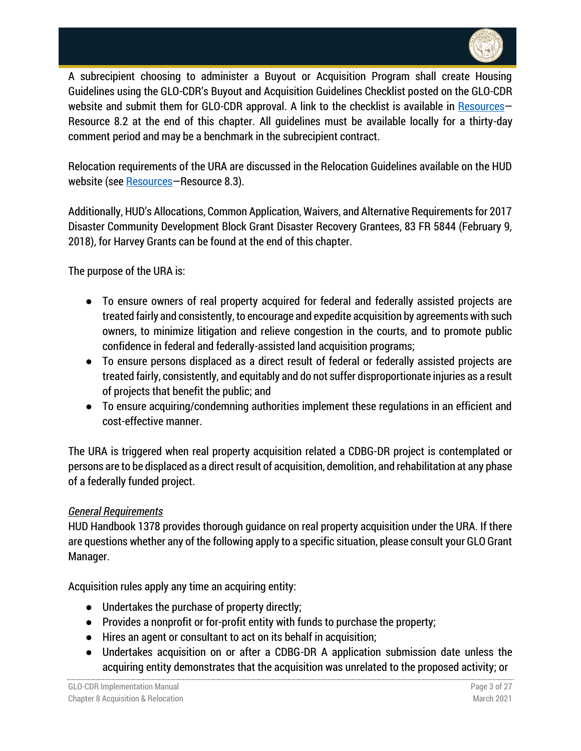

A subrecipient choosing to administer a Buyout or Acquisition Program shall create Housing Guidelines using the GLO-CDR's Buyout and Acquisition Guidelines Checklist posted on the GLO-CDR website and submit them for GLO-CDR approval. A link to the checklist is available in [Resources](#page-26-0)-Resource 8.2 at the end of this chapter. All guidelines must be available locally for a thirty-day comment period and may be a benchmark in the subrecipient contract.

Relocation requirements of the URA are discussed in the Relocation Guidelines available on the HUD website (see [Resources](#page-26-0)–Resource 8.3).

Additionally, HUD's Allocations, Common Application, Waivers, and Alternative Requirements for 2017 Disaster Community Development Block Grant Disaster Recovery Grantees, 83 FR 5844 (February 9, 2018), for Harvey Grants can be found at the end of this chapter.

The purpose of the URA is:

- To ensure owners of real property acquired for federal and federally assisted projects are treated fairly and consistently, to encourage and expedite acquisition by agreements with such owners, to minimize litigation and relieve congestion in the courts, and to promote public confidence in federal and federally-assisted land acquisition programs;
- To ensure persons displaced as a direct result of federal or federally assisted projects are treated fairly, consistently, and equitably and do not suffer disproportionate injuries as a result of projects that benefit the public; and
- To ensure acquiring/condemning authorities implement these regulations in an efficient and cost-effective manner.

The URA is triggered when real property acquisition related a CDBG-DR project is contemplated or persons are to be displaced as a direct result of acquisition, demolition, and rehabilitation at any phase of a federally funded project.

## *General Requirements*

HUD Handbook 1378 provides thorough guidance on real property acquisition under the URA. If there are questions whether any of the following apply to a specific situation, please consult your GLO Grant Manager.

Acquisition rules apply any time an acquiring entity:

- Undertakes the purchase of property directly;
- Provides a nonprofit or for-profit entity with funds to purchase the property;
- Hires an agent or consultant to act on its behalf in acquisition;
- Undertakes acquisition on or after a CDBG-DR A application submission date unless the acquiring entity demonstrates that the acquisition was unrelated to the proposed activity; or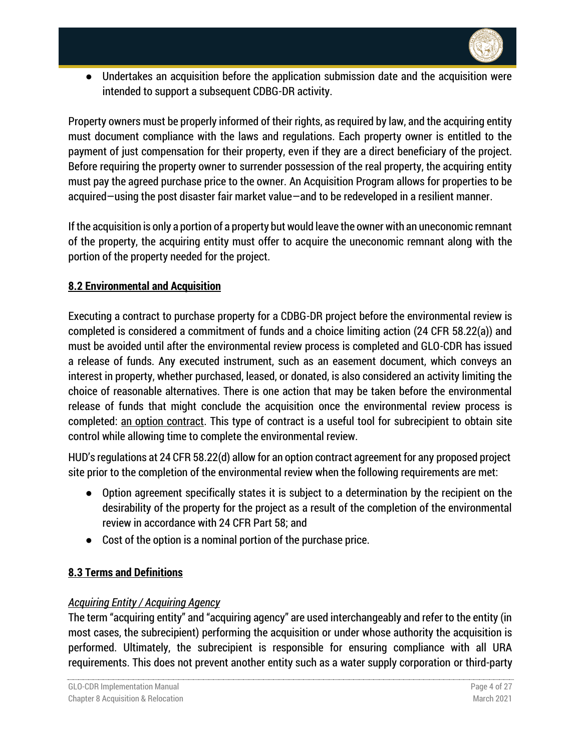

● Undertakes an acquisition before the application submission date and the acquisition were intended to support a subsequent CDBG-DR activity.

Property owners must be properly informed of their rights, as required by law, and the acquiring entity must document compliance with the laws and regulations. Each property owner is entitled to the payment of just compensation for their property, even if they are a direct beneficiary of the project. Before requiring the property owner to surrender possession of the real property, the acquiring entity must pay the agreed purchase price to the owner. An Acquisition Program allows for properties to be acquired—using the post disaster fair market value—and to be redeveloped in a resilient manner.

If the acquisition is only a portion of a property but would leave the owner with an uneconomic remnant of the property, the acquiring entity must offer to acquire the uneconomic remnant along with the portion of the property needed for the project.

# <span id="page-3-0"></span>**8.2 Environmental and Acquisition**

Executing a contract to purchase property for a CDBG-DR project before the environmental review is completed is considered a commitment of funds and a choice limiting action (24 CFR 58.22(a)) and must be avoided until after the environmental review process is completed and GLO-CDR has issued a release of funds. Any executed instrument, such as an easement document, which conveys an interest in property, whether purchased, leased, or donated, is also considered an activity limiting the choice of reasonable alternatives. There is one action that may be taken before the environmental release of funds that might conclude the acquisition once the environmental review process is completed: an option contract. This type of contract is a useful tool for subrecipient to obtain site control while allowing time to complete the environmental review.

HUD's regulations at 24 CFR 58.22(d) allow for an option contract agreement for any proposed project site prior to the completion of the environmental review when the following requirements are met:

- Option agreement specifically states it is subject to a determination by the recipient on the desirability of the property for the project as a result of the completion of the environmental review in accordance with 24 CFR Part 58; and
- Cost of the option is a nominal portion of the purchase price.

# <span id="page-3-1"></span>**8.3 Terms and Definitions**

## *Acquiring Entity / Acquiring Agency*

The term "acquiring entity" and "acquiring agency" are used interchangeably and refer to the entity (in most cases, the subrecipient) performing the acquisition or under whose authority the acquisition is performed. Ultimately, the subrecipient is responsible for ensuring compliance with all URA requirements. This does not prevent another entity such as a water supply corporation or third-party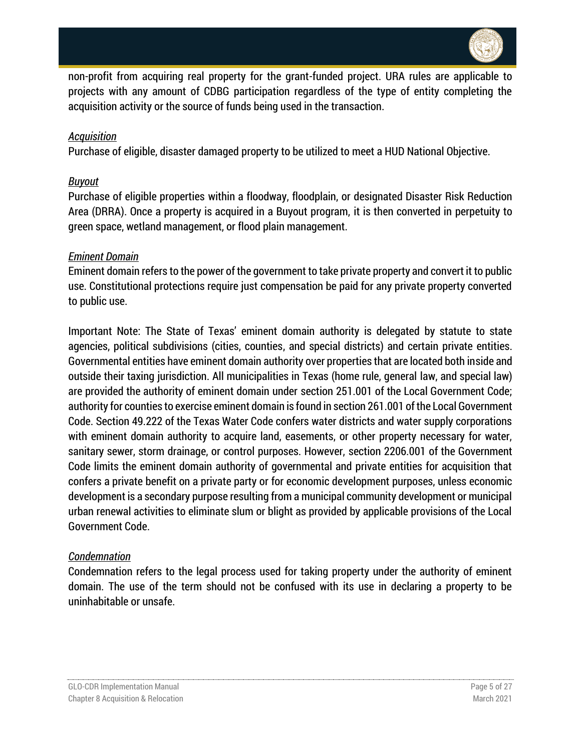

non-profit from acquiring real property for the grant-funded project. URA rules are applicable to projects with any amount of CDBG participation regardless of the type of entity completing the acquisition activity or the source of funds being used in the transaction.

#### *Acquisition*

Purchase of eligible, disaster damaged property to be utilized to meet a HUD National Objective.

#### *Buyout*

Purchase of eligible properties within a floodway, floodplain, or designated Disaster Risk Reduction Area (DRRA). Once a property is acquired in a Buyout program, it is then converted in perpetuity to green space, wetland management, or flood plain management.

#### *Eminent Domain*

Eminent domain refers to the power of the government to take private property and convert it to public use. Constitutional protections require just compensation be paid for any private property converted to public use.

Important Note: The State of Texas' eminent domain authority is delegated by statute to state agencies, political subdivisions (cities, counties, and special districts) and certain private entities. Governmental entities have eminent domain authority over properties that are located both inside and outside their taxing jurisdiction. All municipalities in Texas (home rule, general law, and special law) are provided the authority of eminent domain under section 251.001 of the Local Government Code; authority for counties to exercise eminent domain is found in section 261.001 of the Local Government Code. Section 49.222 of the Texas Water Code confers water districts and water supply corporations with eminent domain authority to acquire land, easements, or other property necessary for water, sanitary sewer, storm drainage, or control purposes. However, section 2206.001 of the Government Code limits the eminent domain authority of governmental and private entities for acquisition that confers a private benefit on a private party or for economic development purposes, unless economic development is a secondary purpose resulting from a municipal community development or municipal urban renewal activities to eliminate slum or blight as provided by applicable provisions of the Local Government Code.

#### *Condemnation*

Condemnation refers to the legal process used for taking property under the authority of eminent domain. The use of the term should not be confused with its use in declaring a property to be uninhabitable or unsafe.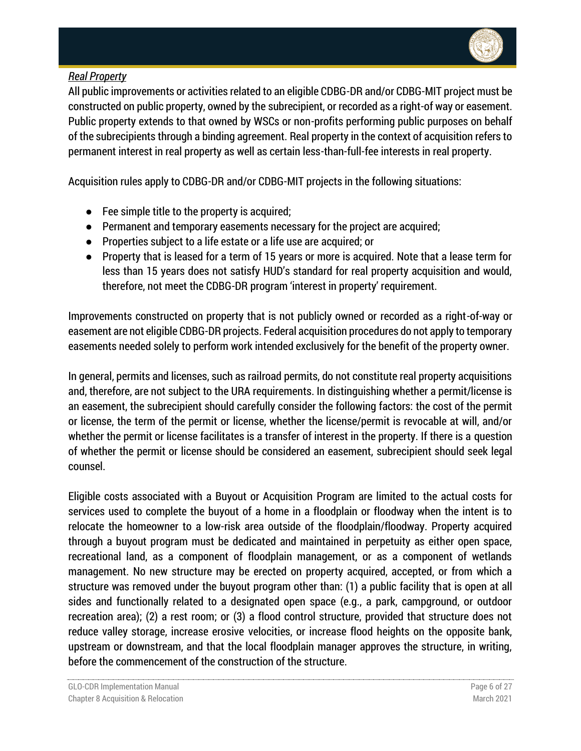

# *Real Property*

All public improvements or activities related to an eligible CDBG-DR and/or CDBG-MIT project must be constructed on public property, owned by the subrecipient, or recorded as a right-of way or easement. Public property extends to that owned by WSCs or non-profits performing public purposes on behalf of the subrecipients through a binding agreement. Real property in the context of acquisition refers to permanent interest in real property as well as certain less-than-full-fee interests in real property.

Acquisition rules apply to CDBG-DR and/or CDBG-MIT projects in the following situations:

- Fee simple title to the property is acquired;
- Permanent and temporary easements necessary for the project are acquired;
- Properties subject to a life estate or a life use are acquired; or
- Property that is leased for a term of 15 years or more is acquired. Note that a lease term for less than 15 years does not satisfy HUD's standard for real property acquisition and would, therefore, not meet the CDBG-DR program 'interest in property' requirement.

Improvements constructed on property that is not publicly owned or recorded as a right-of-way or easement are not eligible CDBG-DR projects. Federal acquisition procedures do not apply to temporary easements needed solely to perform work intended exclusively for the benefit of the property owner.

In general, permits and licenses, such as railroad permits, do not constitute real property acquisitions and, therefore, are not subject to the URA requirements. In distinguishing whether a permit/license is an easement, the subrecipient should carefully consider the following factors: the cost of the permit or license, the term of the permit or license, whether the license/permit is revocable at will, and/or whether the permit or license facilitates is a transfer of interest in the property. If there is a question of whether the permit or license should be considered an easement, subrecipient should seek legal counsel.

Eligible costs associated with a Buyout or Acquisition Program are limited to the actual costs for services used to complete the buyout of a home in a floodplain or floodway when the intent is to relocate the homeowner to a low-risk area outside of the floodplain/floodway. Property acquired through a buyout program must be dedicated and maintained in perpetuity as either open space, recreational land, as a component of floodplain management, or as a component of wetlands management. No new structure may be erected on property acquired, accepted, or from which a structure was removed under the buyout program other than: (1) a public facility that is open at all sides and functionally related to a designated open space (e.g., a park, campground, or outdoor recreation area); (2) a rest room; or (3) a flood control structure, provided that structure does not reduce valley storage, increase erosive velocities, or increase flood heights on the opposite bank, upstream or downstream, and that the local floodplain manager approves the structure, in writing, before the commencement of the construction of the structure.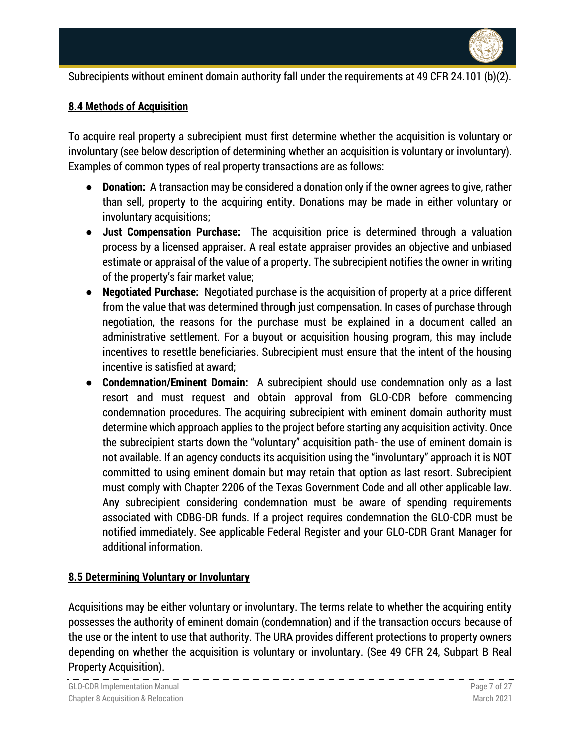

Subrecipients without eminent domain authority fall under the requirements at 49 CFR 24.101 (b)(2).

## <span id="page-6-0"></span>**8.4 Methods of Acquisition**

To acquire real property a subrecipient must first determine whether the acquisition is voluntary or involuntary (see below description of determining whether an acquisition is voluntary or involuntary). Examples of common types of real property transactions are as follows:

- **Donation:** A transaction may be considered a donation only if the owner agrees to give, rather than sell, property to the acquiring entity. Donations may be made in either voluntary or involuntary acquisitions;
- **Just Compensation Purchase:** The acquisition price is determined through a valuation process by a licensed appraiser. A real estate appraiser provides an objective and unbiased estimate or appraisal of the value of a property. The subrecipient notifies the owner in writing of the property's fair market value;
- **Negotiated Purchase:** Negotiated purchase is the acquisition of property at a price different from the value that was determined through just compensation. In cases of purchase through negotiation, the reasons for the purchase must be explained in a document called an administrative settlement. For a buyout or acquisition housing program, this may include incentives to resettle beneficiaries. Subrecipient must ensure that the intent of the housing incentive is satisfied at award;
- **Condemnation/Eminent Domain:** A subrecipient should use condemnation only as a last resort and must request and obtain approval from GLO-CDR before commencing condemnation procedures. The acquiring subrecipient with eminent domain authority must determine which approach applies to the project before starting any acquisition activity. Once the subrecipient starts down the "voluntary" acquisition path- the use of eminent domain is not available. If an agency conducts its acquisition using the "involuntary" approach it is NOT committed to using eminent domain but may retain that option as last resort. Subrecipient must comply with Chapter 2206 of the Texas Government Code and all other applicable law. Any subrecipient considering condemnation must be aware of spending requirements associated with CDBG-DR funds. If a project requires condemnation the GLO-CDR must be notified immediately. See applicable Federal Register and your GLO-CDR Grant Manager for additional information.

#### <span id="page-6-1"></span>**8.5 Determining Voluntary or Involuntary**

Acquisitions may be either voluntary or involuntary. The terms relate to whether the acquiring entity possesses the authority of eminent domain (condemnation) and if the transaction occurs because of the use or the intent to use that authority. The URA provides different protections to property owners depending on whether the acquisition is voluntary or involuntary. (See 49 CFR 24, Subpart B Real Property Acquisition).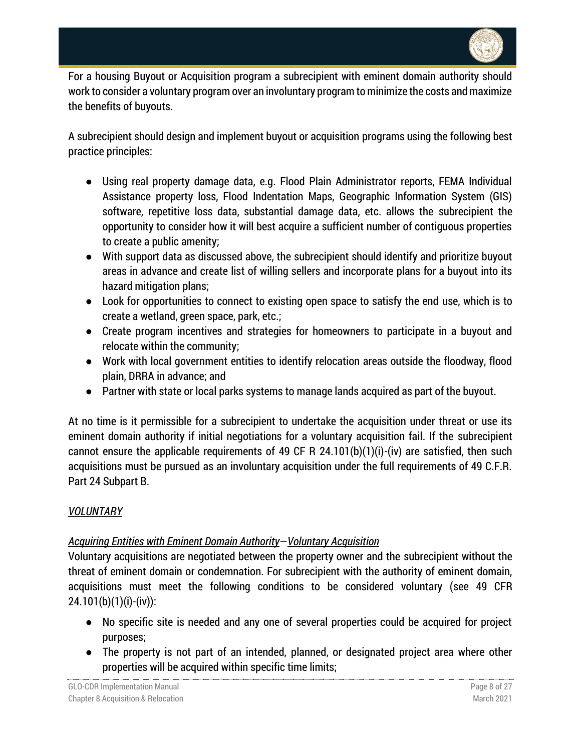

For a housing Buyout or Acquisition program a subrecipient with eminent domain authority should work to consider a voluntary program over an involuntary program to minimize the costs and maximize the benefits of buyouts.

A subrecipient should design and implement buyout or acquisition programs using the following best practice principles:

- Using real property damage data, e.g. Flood Plain Administrator reports, FEMA Individual Assistance property loss, Flood Indentation Maps, Geographic Information System (GIS) software, repetitive loss data, substantial damage data, etc. allows the subrecipient the opportunity to consider how it will best acquire a sufficient number of contiguous properties to create a public amenity;
- With support data as discussed above, the subrecipient should identify and prioritize buyout areas in advance and create list of willing sellers and incorporate plans for a buyout into its hazard mitigation plans;
- Look for opportunities to connect to existing open space to satisfy the end use, which is to create a wetland, green space, park, etc.;
- Create program incentives and strategies for homeowners to participate in a buyout and relocate within the community;
- Work with local government entities to identify relocation areas outside the floodway, flood plain, DRRA in advance; and
- Partner with state or local parks systems to manage lands acquired as part of the buyout.

At no time is it permissible for a subrecipient to undertake the acquisition under threat or use its eminent domain authority if initial negotiations for a voluntary acquisition fail. If the subrecipient cannot ensure the applicable requirements of 49 CF R 24.101(b)(1)(i)-(iv) are satisfied, then such acquisitions must be pursued as an involuntary acquisition under the full requirements of 49 C.F.R. Part 24 Subpart B.

## *VOLUNTARY*

# *Acquiring Entities with Eminent Domain Authority*—*Voluntary Acquisition*

Voluntary acquisitions are negotiated between the property owner and the subrecipient without the threat of eminent domain or condemnation. For subrecipient with the authority of eminent domain, acquisitions must meet the following conditions to be considered voluntary (see 49 CFR 24.101(b)(1)(i)-(iv)):

- No specific site is needed and any one of several properties could be acquired for project purposes;
- The property is not part of an intended, planned, or designated project area where other properties will be acquired within specific time limits;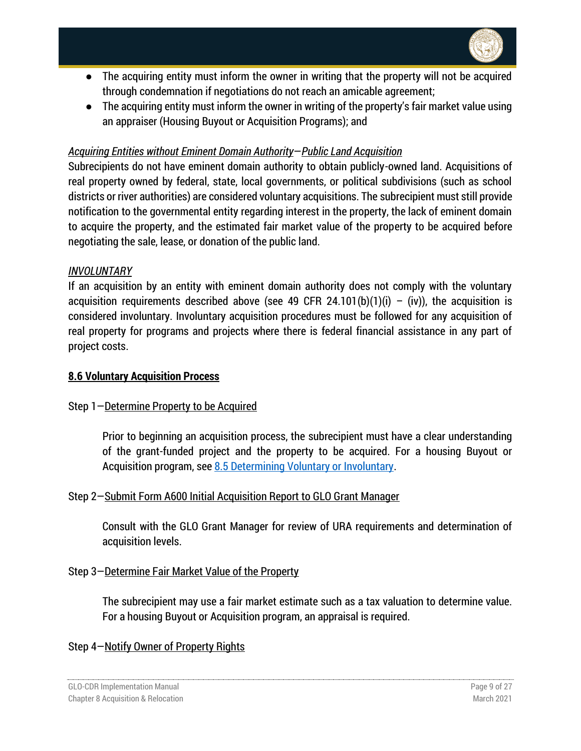

- The acquiring entity must inform the owner in writing that the property will not be acquired through condemnation if negotiations do not reach an amicable agreement;
- The acquiring entity must inform the owner in writing of the property's fair market value using an appraiser (Housing Buyout or Acquisition Programs); and

## *Acquiring Entities without Eminent Domain Authority*—*Public Land Acquisition*

Subrecipients do not have eminent domain authority to obtain publicly-owned land. Acquisitions of real property owned by federal, state, local governments, or political subdivisions (such as school districts or river authorities) are considered voluntary acquisitions. The subrecipient must still provide notification to the governmental entity regarding interest in the property, the lack of eminent domain to acquire the property, and the estimated fair market value of the property to be acquired before negotiating the sale, lease, or donation of the public land.

### *INVOLUNTARY*

If an acquisition by an entity with eminent domain authority does not comply with the voluntary acquisition requirements described above (see 49 CFR 24.101(b)(1)(i) – (iv)), the acquisition is considered involuntary. Involuntary acquisition procedures must be followed for any acquisition of real property for programs and projects where there is federal financial assistance in any part of project costs.

## <span id="page-8-0"></span>**8.6 Voluntary Acquisition Process**

## Step 1—Determine Property to be Acquired

Prior to beginning an acquisition process, the subrecipient must have a clear understanding of the grant-funded project and the property to be acquired. For a housing Buyout or Acquisition program, see [8.5 Determining Voluntary or Involuntary.](#page-6-1)

## Step 2—Submit Form A600 Initial Acquisition Report to GLO Grant Manager

Consult with the GLO Grant Manager for review of URA requirements and determination of acquisition levels.

#### Step 3—Determine Fair Market Value of the Property

The subrecipient may use a fair market estimate such as a tax valuation to determine value. For a housing Buyout or Acquisition program, an appraisal is required.

## Step 4—Notify Owner of Property Rights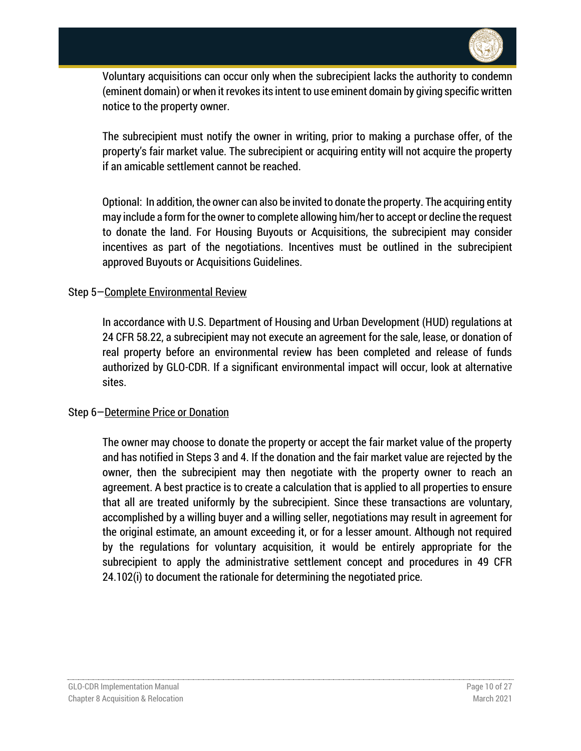

Voluntary acquisitions can occur only when the subrecipient lacks the authority to condemn (eminent domain) or when it revokes its intent to use eminent domain by giving specific written notice to the property owner.

The subrecipient must notify the owner in writing, prior to making a purchase offer, of the property's fair market value. The subrecipient or acquiring entity will not acquire the property if an amicable settlement cannot be reached.

Optional: In addition, the owner can also be invited to donate the property. The acquiring entity may include a form for the owner to complete allowing him/her to accept or decline the request to donate the land. For Housing Buyouts or Acquisitions, the subrecipient may consider incentives as part of the negotiations. Incentives must be outlined in the subrecipient approved Buyouts or Acquisitions Guidelines.

#### Step 5—Complete Environmental Review

In accordance with U.S. Department of Housing and Urban Development (HUD) regulations at 24 CFR 58.22, a subrecipient may not execute an agreement for the sale, lease, or donation of real property before an environmental review has been completed and release of funds authorized by GLO-CDR. If a significant environmental impact will occur, look at alternative sites.

#### Step 6—Determine Price or Donation

The owner may choose to donate the property or accept the fair market value of the property and has notified in Steps 3 and 4. If the donation and the fair market value are rejected by the owner, then the subrecipient may then negotiate with the property owner to reach an agreement. A best practice is to create a calculation that is applied to all properties to ensure that all are treated uniformly by the subrecipient. Since these transactions are voluntary, accomplished by a willing buyer and a willing seller, negotiations may result in agreement for the original estimate, an amount exceeding it, or for a lesser amount. Although not required by the regulations for voluntary acquisition, it would be entirely appropriate for the subrecipient to apply the administrative settlement concept and procedures in 49 CFR 24.102(i) to document the rationale for determining the negotiated price.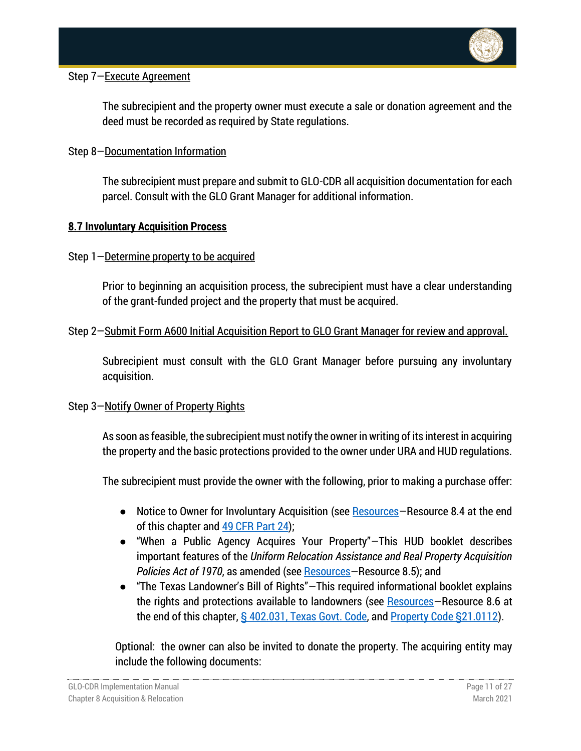

## Step 7—Execute Agreement

The subrecipient and the property owner must execute a sale or donation agreement and the deed must be recorded as required by State regulations.

Step 8—Documentation Information

The subrecipient must prepare and submit to GLO-CDR all acquisition documentation for each parcel. Consult with the GLO Grant Manager for additional information.

### <span id="page-10-0"></span>**8.7 Involuntary Acquisition Process**

Step 1—Determine property to be acquired

Prior to beginning an acquisition process, the subrecipient must have a clear understanding of the grant-funded project and the property that must be acquired.

### Step 2—Submit Form A600 Initial Acquisition Report to GLO Grant Manager for review and approval.

Subrecipient must consult with the GLO Grant Manager before pursuing any involuntary acquisition.

## Step 3—Notify Owner of Property Rights

As soon as feasible, the subrecipient must notify the owner in writing of its interest in acquiring the property and the basic protections provided to the owner under URA and HUD regulations.

The subrecipient must provide the owner with the following, prior to making a purchase offer:

- Notice to Owner for Involuntary Acquisition (see [Resources](#page-26-0)–Resource 8.4 at the end of this chapter and [49 CFR Part 24\)](https://www.hudexchange.info/resource/804/ura-and-real-property-acquisition-policies-act-49-cfr-part-24/);
- "When a Public Agency Acquires Your Property"—This HUD booklet describes important features of the *Uniform Relocation Assistance and Real Property Acquisition Policies Act of 1970*, as amended (see [Resources](#page-26-0)—Resource 8.5); and
- "The Texas Landowner's Bill of Rights"—This required informational booklet explains the rights and protections available to landowners (see [Resources](#page-26-0)-Resource 8.6 at the end of this chapter, [§ 402.031, Texas Govt. Code,](https://texas.public.law/statutes/tex._gov) an[d Property Code §21.0112\)](https://texas.public.law/statutes/tex._prop._code_section_21.0112).

Optional: the owner can also be invited to donate the property. The acquiring entity may include the following documents: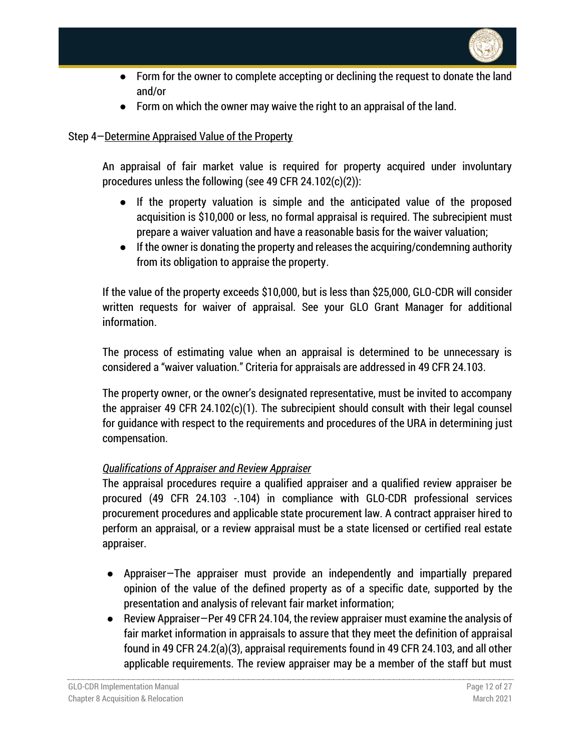

- Form for the owner to complete accepting or declining the request to donate the land and/or
- Form on which the owner may waive the right to an appraisal of the land.

## Step 4—Determine Appraised Value of the Property

An appraisal of fair market value is required for property acquired under involuntary procedures unless the following (see 49 CFR 24.102(c)(2)):

- If the property valuation is simple and the anticipated value of the proposed acquisition is \$10,000 or less, no formal appraisal is required. The subrecipient must prepare a waiver valuation and have a reasonable basis for the waiver valuation;
- If the owner is donating the property and releases the acquiring/condemning authority from its obligation to appraise the property.

If the value of the property exceeds \$10,000, but is less than \$25,000, GLO-CDR will consider written requests for waiver of appraisal. See your GLO Grant Manager for additional information.

The process of estimating value when an appraisal is determined to be unnecessary is considered a "waiver valuation." Criteria for appraisals are addressed in 49 CFR 24.103.

The property owner, or the owner's designated representative, must be invited to accompany the appraiser 49 CFR 24.102(c)(1). The subrecipient should consult with their legal counsel for guidance with respect to the requirements and procedures of the URA in determining just compensation.

## *Qualifications of Appraiser and Review Appraiser*

The appraisal procedures require a qualified appraiser and a qualified review appraiser be procured (49 CFR 24.103 -.104) in compliance with GLO-CDR professional services procurement procedures and applicable state procurement law. A contract appraiser hired to perform an appraisal, or a review appraisal must be a state licensed or certified real estate appraiser.

- Appraiser—The appraiser must provide an independently and impartially prepared opinion of the value of the defined property as of a specific date, supported by the presentation and analysis of relevant fair market information;
- Review Appraiser–Per 49 CFR 24.104, the review appraiser must examine the analysis of fair market information in appraisals to assure that they meet the definition of appraisal found in 49 CFR 24.2(a)(3), appraisal requirements found in 49 CFR 24.103, and all other applicable requirements. The review appraiser may be a member of the staff but must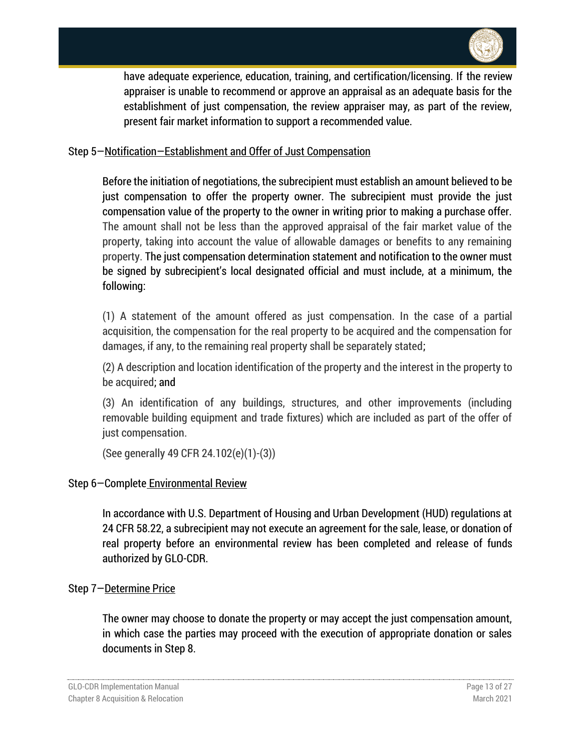

have adequate experience, education, training, and certification/licensing. If the review appraiser is unable to recommend or approve an appraisal as an adequate basis for the establishment of just compensation, the review appraiser may, as part of the review, present fair market information to support a recommended value.

#### Step 5—Notification—Establishment and Offer of Just Compensation

Before the initiation of negotiations, the subrecipient must establish an amount believed to be just compensation to offer the property owner. The subrecipient must provide the just compensation value of the property to the owner in writing prior to making a purchase offer. The amount shall not be less than the approved appraisal of the fair market value of the property, taking into account the value of allowable damages or benefits to any remaining property. The just compensation determination statement and notification to the owner must be signed by subrecipient's local designated official and must include, at a minimum, the following:

(1) A statement of the amount offered as just compensation. In the case of a partial acquisition, the compensation for the real property to be acquired and the compensation for damages, if any, to the remaining real property shall be separately stated;

(2) A description and location identification of the property and the interest in the property to be acquired; and

(3) An identification of any buildings, structures, and other improvements (including removable building equipment and trade fixtures) which are included as part of the offer of just compensation.

(See generally 49 CFR 24.102(e)(1)-(3))

#### Step 6—Complete Environmental Review

In accordance with U.S. Department of Housing and Urban Development (HUD) regulations at 24 CFR 58.22, a subrecipient may not execute an agreement for the sale, lease, or donation of real property before an environmental review has been completed and release of funds authorized by GLO-CDR.

#### Step 7—Determine Price

The owner may choose to donate the property or may accept the just compensation amount, in which case the parties may proceed with the execution of appropriate donation or sales documents in Step 8.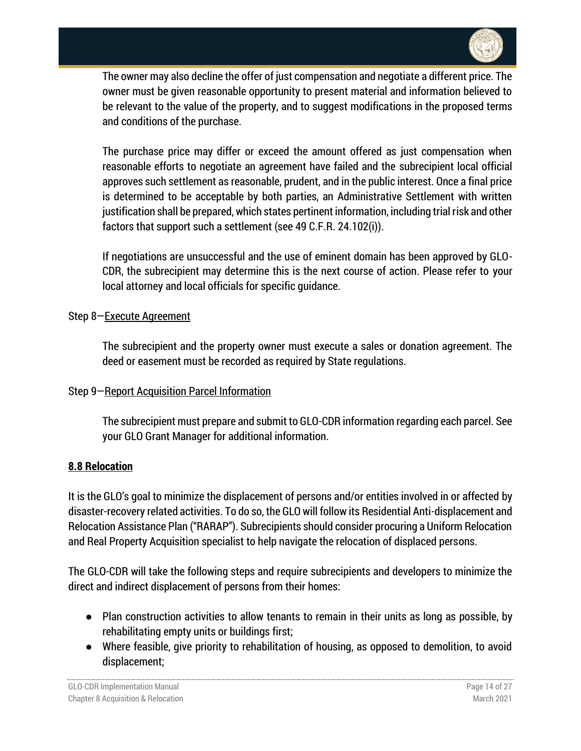

The owner may also decline the offer of just compensation and negotiate a different price. The owner must be given reasonable opportunity to present material and information believed to be relevant to the value of the property, and to suggest modifications in the proposed terms and conditions of the purchase.

The purchase price may differ or exceed the amount offered as just compensation when reasonable efforts to negotiate an agreement have failed and the subrecipient local official approves such settlement as reasonable, prudent, and in the public interest. Once a final price is determined to be acceptable by both parties, an Administrative Settlement with written justification shall be prepared, which states pertinent information, including trial risk and other factors that support such a settlement (see 49 C.F.R. 24.102(i)).

If negotiations are unsuccessful and the use of eminent domain has been approved by GLO-CDR, the subrecipient may determine this is the next course of action. Please refer to your local attorney and local officials for specific guidance.

### Step 8—Execute Agreement

The subrecipient and the property owner must execute a sales or donation agreement. The deed or easement must be recorded as required by State regulations.

## Step 9—Report Acquisition Parcel Information

The subrecipient must prepare and submit to GLO-CDR information regarding each parcel. See your GLO Grant Manager for additional information.

#### <span id="page-13-0"></span>**8.8 Relocation**

It is the GLO's goal to minimize the displacement of persons and/or entities involved in or affected by disaster-recovery related activities. To do so, the GLO will follow its Residential Anti-displacement and Relocation Assistance Plan ("RARAP"). Subrecipients should consider procuring a Uniform Relocation and Real Property Acquisition specialist to help navigate the relocation of displaced persons.

The GLO-CDR will take the following steps and require subrecipients and developers to minimize the direct and indirect displacement of persons from their homes:

- Plan construction activities to allow tenants to remain in their units as long as possible, by rehabilitating empty units or buildings first;
- Where feasible, give priority to rehabilitation of housing, as opposed to demolition, to avoid displacement;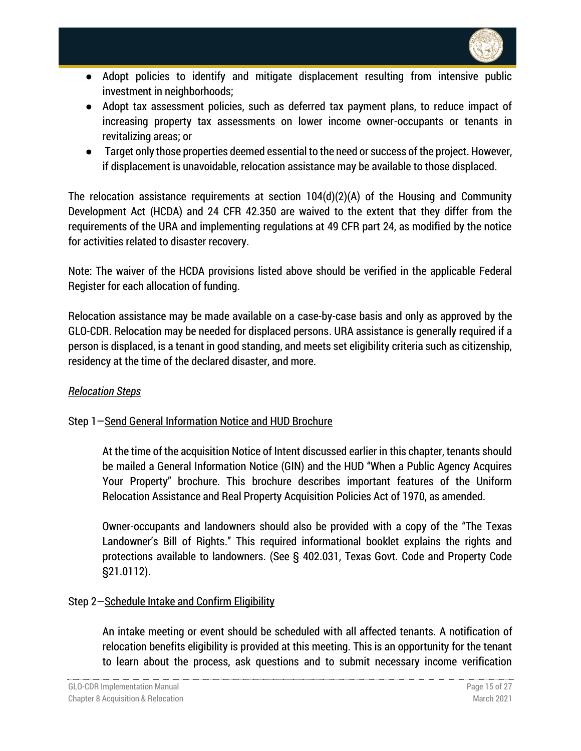

- Adopt policies to identify and mitigate displacement resulting from intensive public investment in neighborhoods;
- Adopt tax assessment policies, such as deferred tax payment plans, to reduce impact of increasing property tax assessments on lower income owner-occupants or tenants in revitalizing areas; or
- Target only those properties deemed essential to the need or success of the project. However, if displacement is unavoidable, relocation assistance may be available to those displaced.

The relocation assistance requirements at section 104(d)(2)(A) of the Housing and Community Development Act (HCDA) and 24 CFR 42.350 are waived to the extent that they differ from the requirements of the URA and implementing regulations at 49 CFR part 24, as modified by the notice for activities related to disaster recovery.

Note: The waiver of the HCDA provisions listed above should be verified in the applicable Federal Register for each allocation of funding.

Relocation assistance may be made available on a case-by-case basis and only as approved by the GLO-CDR. Relocation may be needed for displaced persons. URA assistance is generally required if a person is displaced, is a tenant in good standing, and meets set eligibility criteria such as citizenship, residency at the time of the declared disaster, and more.

## *Relocation Steps*

## Step 1—Send General Information Notice and HUD Brochure

At the time of the acquisition Notice of Intent discussed earlier in this chapter, tenants should be mailed a General Information Notice (GIN) and the HUD "When a Public Agency Acquires Your Property" brochure. This brochure describes important features of the Uniform Relocation Assistance and Real Property Acquisition Policies Act of 1970, as amended.

Owner-occupants and landowners should also be provided with a copy of the "The Texas Landowner's Bill of Rights." This required informational booklet explains the rights and protections available to landowners. (See § 402.031, Texas Govt. Code and Property Code §21.0112).

## Step 2—Schedule Intake and Confirm Eligibility

An intake meeting or event should be scheduled with all affected tenants. A notification of relocation benefits eligibility is provided at this meeting. This is an opportunity for the tenant to learn about the process, ask questions and to submit necessary income verification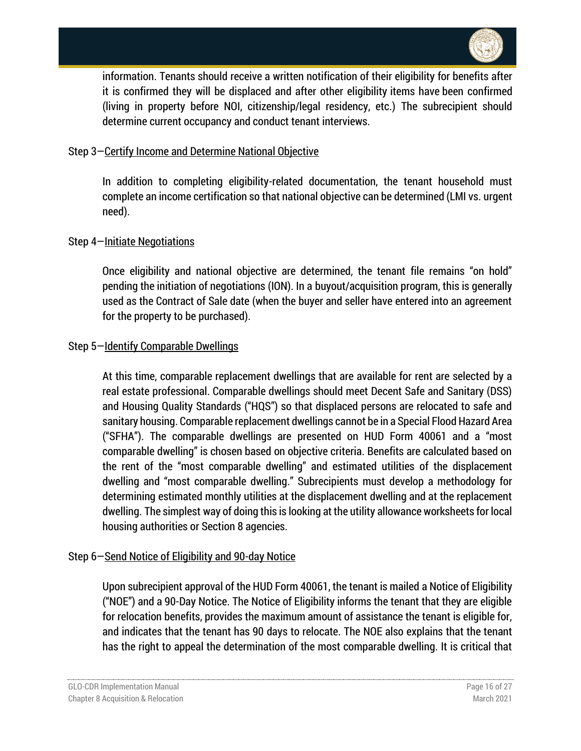

information. Tenants should receive a written notification of their eligibility for benefits after it is confirmed they will be displaced and after other eligibility items have been confirmed (living in property before NOI, citizenship/legal residency, etc.) The subrecipient should determine current occupancy and conduct tenant interviews.

### Step 3—Certify Income and Determine National Objective

In addition to completing eligibility-related documentation, the tenant household must complete an income certification so that national objective can be determined (LMI vs. urgent need).

### Step 4—Initiate Negotiations

Once eligibility and national objective are determined, the tenant file remains "on hold" pending the initiation of negotiations (ION). In a buyout/acquisition program, this is generally used as the Contract of Sale date (when the buyer and seller have entered into an agreement for the property to be purchased).

### Step 5—Identify Comparable Dwellings

At this time, comparable replacement dwellings that are available for rent are selected by a real estate professional. Comparable dwellings should meet Decent Safe and Sanitary (DSS) and Housing Quality Standards ("HQS") so that displaced persons are relocated to safe and sanitary housing. Comparable replacement dwellings cannot be in a Special Flood Hazard Area ("SFHA"). The comparable dwellings are presented on HUD Form 40061 and a "most comparable dwelling" is chosen based on objective criteria. Benefits are calculated based on the rent of the "most comparable dwelling" and estimated utilities of the displacement dwelling and "most comparable dwelling." Subrecipients must develop a methodology for determining estimated monthly utilities at the displacement dwelling and at the replacement dwelling. The simplest way of doing this is looking at the utility allowance worksheets for local housing authorities or Section 8 agencies.

#### Step 6—Send Notice of Eligibility and 90-day Notice

Upon subrecipient approval of the HUD Form 40061, the tenant is mailed a Notice of Eligibility ("NOE") and a 90-Day Notice. The Notice of Eligibility informs the tenant that they are eligible for relocation benefits, provides the maximum amount of assistance the tenant is eligible for, and indicates that the tenant has 90 days to relocate. The NOE also explains that the tenant has the right to appeal the determination of the most comparable dwelling. It is critical that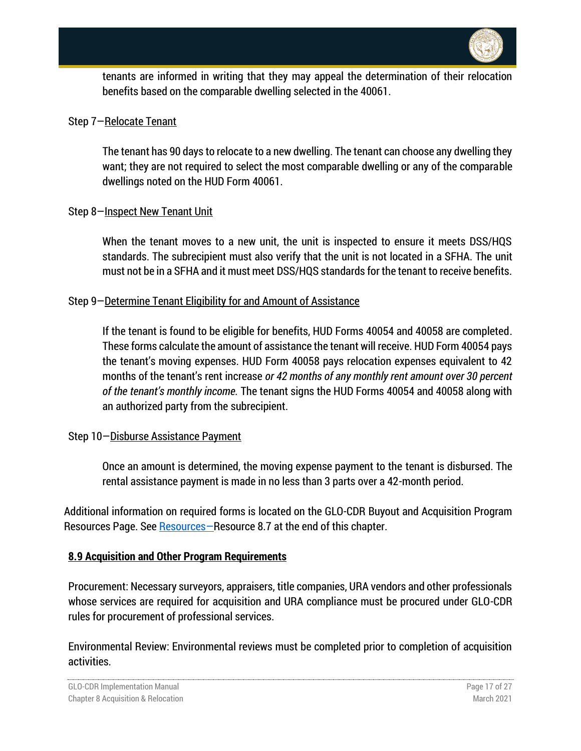

tenants are informed in writing that they may appeal the determination of their relocation benefits based on the comparable dwelling selected in the 40061.

#### Step 7—Relocate Tenant

The tenant has 90 days to relocate to a new dwelling. The tenant can choose any dwelling they want; they are not required to select the most comparable dwelling or any of the comparable dwellings noted on the HUD Form 40061.

### Step 8-Inspect New Tenant Unit

When the tenant moves to a new unit, the unit is inspected to ensure it meets DSS/HQS standards. The subrecipient must also verify that the unit is not located in a SFHA. The unit must not be in a SFHA and it must meet DSS/HQS standards for the tenant to receive benefits.

### Step 9—Determine Tenant Eligibility for and Amount of Assistance

If the tenant is found to be eligible for benefits, HUD Forms 40054 and 40058 are completed. These forms calculate the amount of assistance the tenant will receive. HUD Form 40054 pays the tenant's moving expenses. HUD Form 40058 pays relocation expenses equivalent to 42 months of the tenant's rent increase *or 42 months of any monthly rent amount over 30 percent of the tenant's monthly income.* The tenant signs the HUD Forms 40054 and 40058 along with an authorized party from the subrecipient.

## Step 10—Disburse Assistance Payment

Once an amount is determined, the moving expense payment to the tenant is disbursed. The rental assistance payment is made in no less than 3 parts over a 42-month period.

Additional information on required forms is located on the GLO-CDR Buyout and Acquisition Program [Resources](#page-26-0) Page. See Resources-Resource 8.7 at the end of this chapter.

#### <span id="page-16-0"></span>**8.9 Acquisition and Other Program Requirements**

Procurement: Necessary surveyors, appraisers, title companies, URA vendors and other professionals whose services are required for acquisition and URA compliance must be procured under GLO-CDR rules for procurement of professional services.

Environmental Review: Environmental reviews must be completed prior to completion of acquisition activities.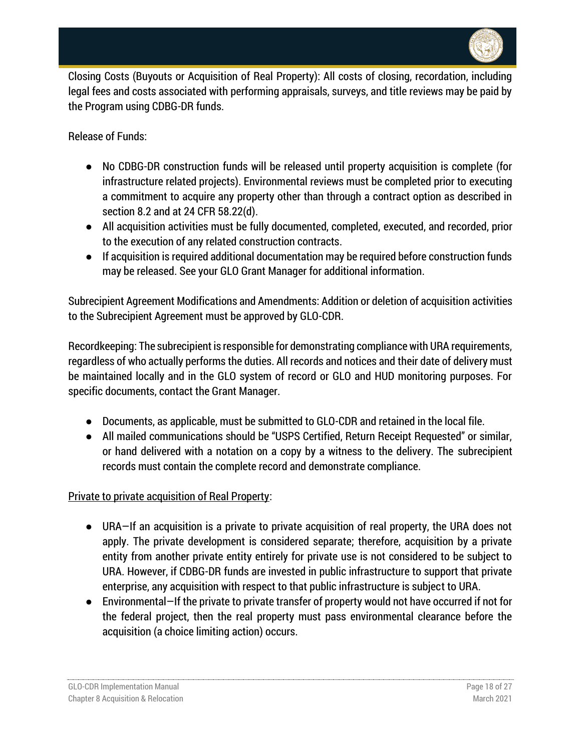

Closing Costs (Buyouts or Acquisition of Real Property): All costs of closing, recordation, including legal fees and costs associated with performing appraisals, surveys, and title reviews may be paid by the Program using CDBG-DR funds.

Release of Funds:

- No CDBG-DR construction funds will be released until property acquisition is complete (for infrastructure related projects). Environmental reviews must be completed prior to executing a commitment to acquire any property other than through a contract option as described in section 8.2 and at 24 CFR 58.22(d).
- All acquisition activities must be fully documented, completed, executed, and recorded, prior to the execution of any related construction contracts.
- If acquisition is required additional documentation may be required before construction funds may be released. See your GLO Grant Manager for additional information.

Subrecipient Agreement Modifications and Amendments: Addition or deletion of acquisition activities to the Subrecipient Agreement must be approved by GLO-CDR.

Recordkeeping: The subrecipient is responsible for demonstrating compliance with URA requirements, regardless of who actually performs the duties. All records and notices and their date of delivery must be maintained locally and in the GLO system of record or GLO and HUD monitoring purposes. For specific documents, contact the Grant Manager.

- Documents, as applicable, must be submitted to GLO-CDR and retained in the local file.
- All mailed communications should be "USPS Certified, Return Receipt Requested" or similar, or hand delivered with a notation on a copy by a witness to the delivery. The subrecipient records must contain the complete record and demonstrate compliance.

Private to private acquisition of Real Property:

- URA—If an acquisition is a private to private acquisition of real property, the URA does not apply. The private development is considered separate; therefore, acquisition by a private entity from another private entity entirely for private use is not considered to be subject to URA. However, if CDBG-DR funds are invested in public infrastructure to support that private enterprise, any acquisition with respect to that public infrastructure is subject to URA.
- Environmental—If the private to private transfer of property would not have occurred if not for the federal project, then the real property must pass environmental clearance before the acquisition (a choice limiting action) occurs.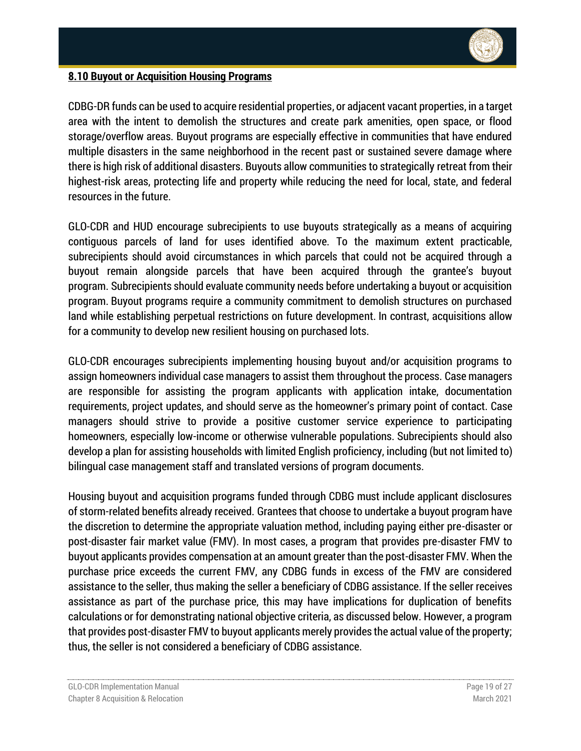

## <span id="page-18-0"></span>**8.10 Buyout or Acquisition Housing Programs**

CDBG-DR funds can be used to acquire residential properties, or adjacent vacant properties, in a target area with the intent to demolish the structures and create park amenities, open space, or flood storage/overflow areas. Buyout programs are especially effective in communities that have endured multiple disasters in the same neighborhood in the recent past or sustained severe damage where there is high risk of additional disasters. Buyouts allow communities to strategically retreat from their highest-risk areas, protecting life and property while reducing the need for local, state, and federal resources in the future.

GLO-CDR and HUD encourage subrecipients to use buyouts strategically as a means of acquiring contiguous parcels of land for uses identified above. To the maximum extent practicable, subrecipients should avoid circumstances in which parcels that could not be acquired through a buyout remain alongside parcels that have been acquired through the grantee's buyout program. Subrecipients should evaluate community needs before undertaking a buyout or acquisition program. Buyout programs require a community commitment to demolish structures on purchased land while establishing perpetual restrictions on future development. In contrast, acquisitions allow for a community to develop new resilient housing on purchased lots.

GLO-CDR encourages subrecipients implementing housing buyout and/or acquisition programs to assign homeowners individual case managers to assist them throughout the process. Case managers are responsible for assisting the program applicants with application intake, documentation requirements, project updates, and should serve as the homeowner's primary point of contact. Case managers should strive to provide a positive customer service experience to participating homeowners, especially low-income or otherwise vulnerable populations. Subrecipients should also develop a plan for assisting households with limited English proficiency, including (but not limited to) bilingual case management staff and translated versions of program documents.

Housing buyout and acquisition programs funded through CDBG must include applicant disclosures of storm-related benefits already received. Grantees that choose to undertake a buyout program have the discretion to determine the appropriate valuation method, including paying either pre-disaster or post-disaster fair market value (FMV). In most cases, a program that provides pre-disaster FMV to buyout applicants provides compensation at an amount greater than the post-disaster FMV. When the purchase price exceeds the current FMV, any CDBG funds in excess of the FMV are considered assistance to the seller, thus making the seller a beneficiary of CDBG assistance. If the seller receives assistance as part of the purchase price, this may have implications for duplication of benefits calculations or for demonstrating national objective criteria, as discussed below. However, a program that provides post-disaster FMV to buyout applicants merely provides the actual value of the property; thus, the seller is not considered a beneficiary of CDBG assistance.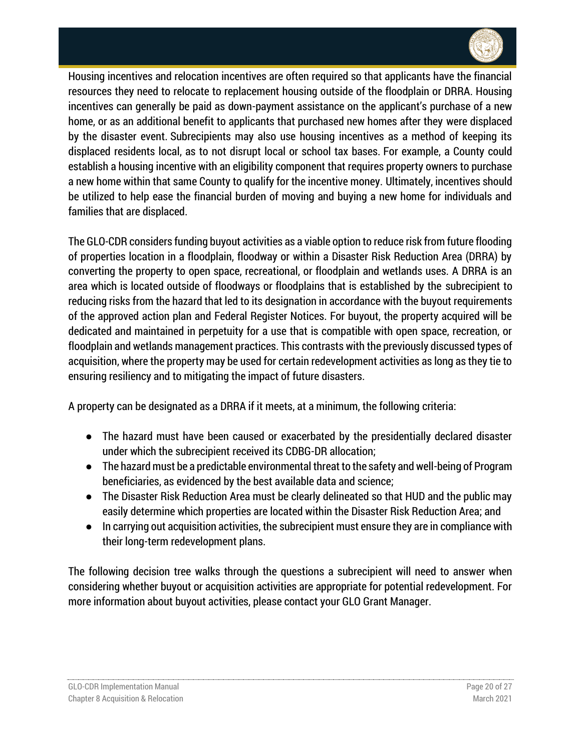

Housing incentives and relocation incentives are often required so that applicants have the financial resources they need to relocate to replacement housing outside of the floodplain or DRRA. Housing incentives can generally be paid as down-payment assistance on the applicant's purchase of a new home, or as an additional benefit to applicants that purchased new homes after they were displaced by the disaster event. Subrecipients may also use housing incentives as a method of keeping its displaced residents local, as to not disrupt local or school tax bases. For example, a County could establish a housing incentive with an eligibility component that requires property owners to purchase a new home within that same County to qualify for the incentive money. Ultimately, incentives should be utilized to help ease the financial burden of moving and buying a new home for individuals and families that are displaced.

The GLO-CDR considers funding buyout activities as a viable option to reduce risk from future flooding of properties location in a floodplain, floodway or within a Disaster Risk Reduction Area (DRRA) by converting the property to open space, recreational, or floodplain and wetlands uses. A DRRA is an area which is located outside of floodways or floodplains that is established by the subrecipient to reducing risks from the hazard that led to its designation in accordance with the buyout requirements of the approved action plan and Federal Register Notices. For buyout, the property acquired will be dedicated and maintained in perpetuity for a use that is compatible with open space, recreation, or floodplain and wetlands management practices. This contrasts with the previously discussed types of acquisition, where the property may be used for certain redevelopment activities as long as they tie to ensuring resiliency and to mitigating the impact of future disasters.

A property can be designated as a DRRA if it meets, at a minimum, the following criteria:

- The hazard must have been caused or exacerbated by the presidentially declared disaster under which the subrecipient received its CDBG-DR allocation;
- The hazard must be a predictable environmental threat to the safety and well-being of Program beneficiaries, as evidenced by the best available data and science;
- The Disaster Risk Reduction Area must be clearly delineated so that HUD and the public may easily determine which properties are located within the Disaster Risk Reduction Area; and
- In carrying out acquisition activities, the subrecipient must ensure they are in compliance with their long-term redevelopment plans.

The following decision tree walks through the questions a subrecipient will need to answer when considering whether buyout or acquisition activities are appropriate for potential redevelopment. For more information about buyout activities, please contact your GLO Grant Manager.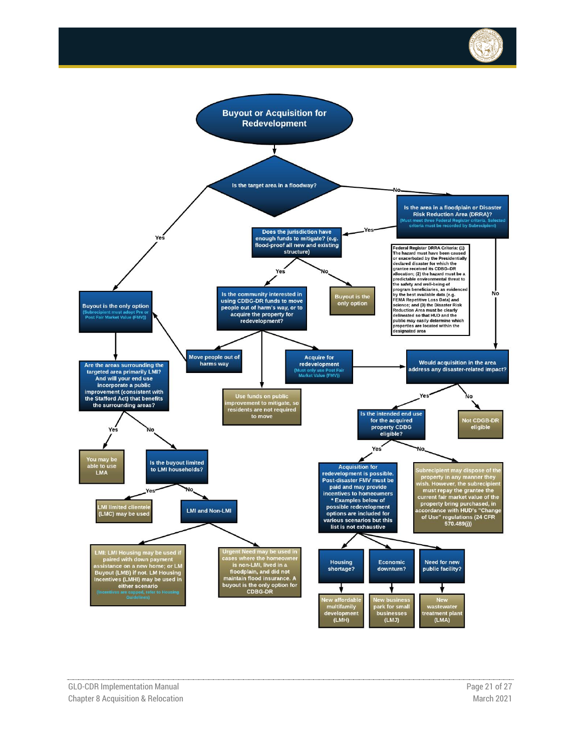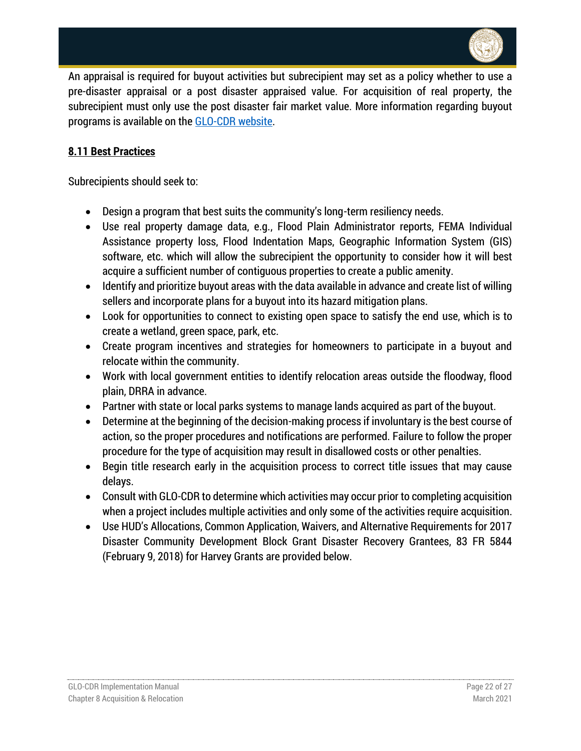

An appraisal is required for buyout activities but subrecipient may set as a policy whether to use a pre-disaster appraisal or a post disaster appraised value. For acquisition of real property, the subrecipient must only use the post disaster fair market value. More information regarding buyout programs is available on the [GLO-CDR website.](https://recovery.texas.gov/)

## <span id="page-21-0"></span>**8.11 Best Practices**

Subrecipients should seek to:

- Design a program that best suits the community's long-term resiliency needs.
- Use real property damage data, e.g., Flood Plain Administrator reports, FEMA Individual Assistance property loss, Flood Indentation Maps, Geographic Information System (GIS) software, etc. which will allow the subrecipient the opportunity to consider how it will best acquire a sufficient number of contiguous properties to create a public amenity.
- Identify and prioritize buyout areas with the data available in advance and create list of willing sellers and incorporate plans for a buyout into its hazard mitigation plans.
- Look for opportunities to connect to existing open space to satisfy the end use, which is to create a wetland, green space, park, etc.
- Create program incentives and strategies for homeowners to participate in a buyout and relocate within the community.
- Work with local government entities to identify relocation areas outside the floodway, flood plain, DRRA in advance.
- Partner with state or local parks systems to manage lands acquired as part of the buyout.
- Determine at the beginning of the decision-making process if involuntary is the best course of action, so the proper procedures and notifications are performed. Failure to follow the proper procedure for the type of acquisition may result in disallowed costs or other penalties.
- Begin title research early in the acquisition process to correct title issues that may cause delays.
- Consult with GLO-CDR to determine which activities may occur prior to completing acquisition when a project includes multiple activities and only some of the activities require acquisition.
- Use HUD's Allocations, Common Application, Waivers, and Alternative Requirements for 2017 Disaster Community Development Block Grant Disaster Recovery Grantees, 83 FR 5844 (February 9, 2018) for Harvey Grants are provided below.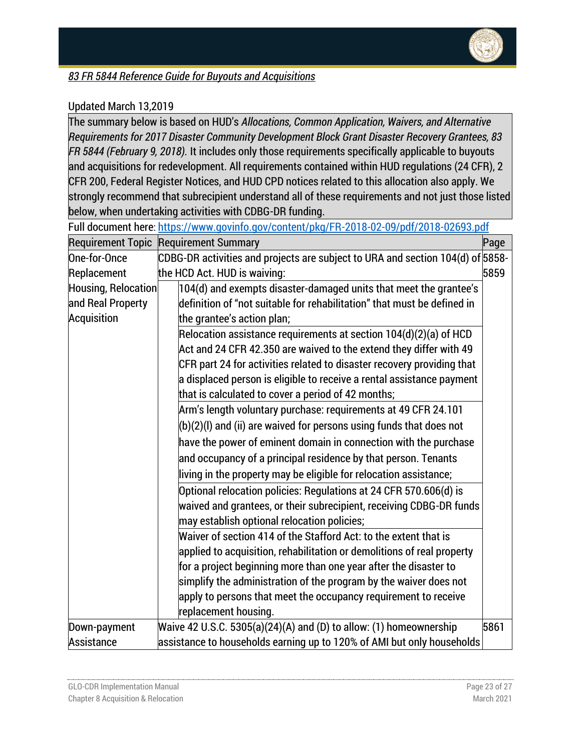

# *83 FR 5844 Reference Guide for Buyouts and Acquisitions*

## Updated March 13,2019

The summary below is based on HUD's *Allocations, Common Application, Waivers, and Alternative Requirements for 2017 Disaster Community Development Block Grant Disaster Recovery Grantees, 83 FR 5844 (February 9, 2018).* It includes only those requirements specifically applicable to buyouts and acquisitions for redevelopment. All requirements contained within HUD regulations (24 CFR), 2 CFR 200, Federal Register Notices, and HUD CPD notices related to this allocation also apply. We strongly recommend that subrecipient understand all of these requirements and not just those listed below, when undertaking activities with CDBG-DR funding.

|                     | Full document here: https://www.govinfo.gov/content/pkg/FR-2018-02-09/pdf/2018-02693.pdf |      |
|---------------------|------------------------------------------------------------------------------------------|------|
|                     | <b>Requirement Topic Requirement Summary</b>                                             | Page |
| One-for-Once        | CDBG-DR activities and projects are subject to URA and section 104(d) of 5858-           |      |
| Replacement         | the HCD Act. HUD is waiving:                                                             | 5859 |
| Housing, Relocation | $\vert$ 104(d) and exempts disaster-damaged units that meet the grantee's                |      |
| and Real Property   | definition of "not suitable for rehabilitation" that must be defined in                  |      |
| Acquisition         | the grantee's action plan;                                                               |      |
|                     | Relocation assistance requirements at section $104(d)(2)(a)$ of HCD                      |      |
|                     | $\,$ Act and 24 CFR 42.350 are waived to the extend they differ with 49                  |      |
|                     | CFR part 24 for activities related to disaster recovery providing that                   |      |
|                     | a displaced person is eligible to receive a rental assistance payment                    |      |
|                     | that is calculated to cover a period of 42 months;                                       |      |
|                     | Arm's length voluntary purchase: requirements at 49 CFR 24.101                           |      |
|                     | $\vert$ (b)(2)(l) and (ii) are waived for persons using funds that does not              |      |
|                     | have the power of eminent domain in connection with the purchase                         |      |
|                     | and occupancy of a principal residence by that person. Tenants                           |      |
|                     | living in the property may be eligible for relocation assistance;                        |      |
|                     | Optional relocation policies: Regulations at 24 CFR 570.606(d) is                        |      |
|                     | waived and grantees, or their subrecipient, receiving CDBG-DR funds                      |      |
|                     | may establish optional relocation policies;                                              |      |
|                     | Waiver of section 414 of the Stafford Act: to the extent that is                         |      |
|                     | applied to acquisition, rehabilitation or demolitions of real property                   |      |
|                     | for a project beginning more than one year after the disaster to                         |      |
|                     | simplify the administration of the program by the waiver does not                        |      |
|                     | apply to persons that meet the occupancy requirement to receive                          |      |
|                     | replacement housing.                                                                     |      |
| Down-payment        | Waive 42 U.S.C. 5305(a)(24)(A) and (D) to allow: (1) homeownership                       | 5861 |
| Assistance          | assistance to households earning up to 120% of AMI but only households                   |      |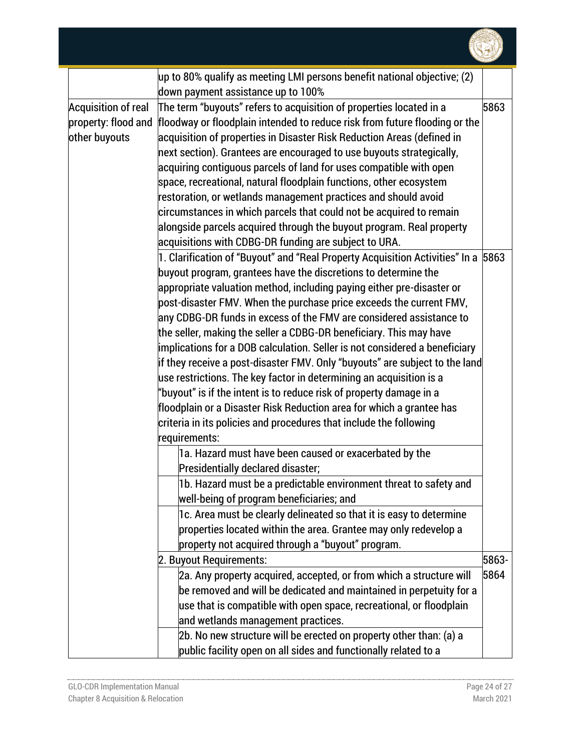

|                            | $\mu$ p to 80% qualify as meeting LMI persons benefit national objective; (2)     |       |
|----------------------------|-----------------------------------------------------------------------------------|-------|
|                            | down payment assistance up to 100%                                                |       |
| <b>Acquisition of real</b> | The term "buyouts" refers to acquisition of properties located in a               | 5863  |
| property: flood and        | floodway or floodplain intended to reduce risk from future flooding or the        |       |
| other buyouts              | acquisition of properties in Disaster Risk Reduction Areas (defined in            |       |
|                            | next section). Grantees are encouraged to use buyouts strategically,              |       |
|                            | acquiring contiguous parcels of land for uses compatible with open                |       |
|                            | space, recreational, natural floodplain functions, other ecosystem                |       |
|                            | restoration, or wetlands management practices and should avoid                    |       |
|                            | circumstances in which parcels that could not be acquired to remain               |       |
|                            | alongside parcels acquired through the buyout program. Real property              |       |
|                            | acquisitions with CDBG-DR funding are subject to URA.                             |       |
|                            | 1. Clarification of "Buyout" and "Real Property Acquisition Activities" In a 5863 |       |
|                            | buyout program, grantees have the discretions to determine the                    |       |
|                            | appropriate valuation method, including paying either pre-disaster or             |       |
|                            | post-disaster FMV. When the purchase price exceeds the current FMV,               |       |
|                            | any CDBG-DR funds in excess of the FMV are considered assistance to               |       |
|                            | the seller, making the seller a CDBG-DR beneficiary. This may have                |       |
|                            | implications for a DOB calculation. Seller is not considered a beneficiary        |       |
|                            | if they receive a post-disaster FMV. Only "buyouts" are subject to the land       |       |
|                            | $\mu$ se restrictions. The key factor in determining an acquisition is a          |       |
|                            | "buyout" is if the intent is to reduce risk of property damage in a               |       |
|                            | floodplain or a Disaster Risk Reduction area for which a grantee has              |       |
|                            | criteria in its policies and procedures that include the following                |       |
|                            | requirements:                                                                     |       |
|                            | 1a. Hazard must have been caused or exacerbated by the                            |       |
|                            | Presidentially declared disaster;                                                 |       |
|                            | 1b. Hazard must be a predictable environment threat to safety and                 |       |
|                            | well-being of program beneficiaries; and                                          |       |
|                            | 1c. Area must be clearly delineated so that it is easy to determine               |       |
|                            | properties located within the area. Grantee may only redevelop a                  |       |
|                            | property not acquired through a "buyout" program.                                 |       |
|                            | 2. Buyout Requirements:                                                           | 5863- |
|                            | 2a. Any property acquired, accepted, or from which a structure will               | 5864  |
|                            | be removed and will be dedicated and maintained in perpetuity for a               |       |
|                            | use that is compatible with open space, recreational, or floodplain               |       |
|                            | and wetlands management practices.                                                |       |
|                            | 2b. No new structure will be erected on property other than: (a) a                |       |
|                            | public facility open on all sides and functionally related to a                   |       |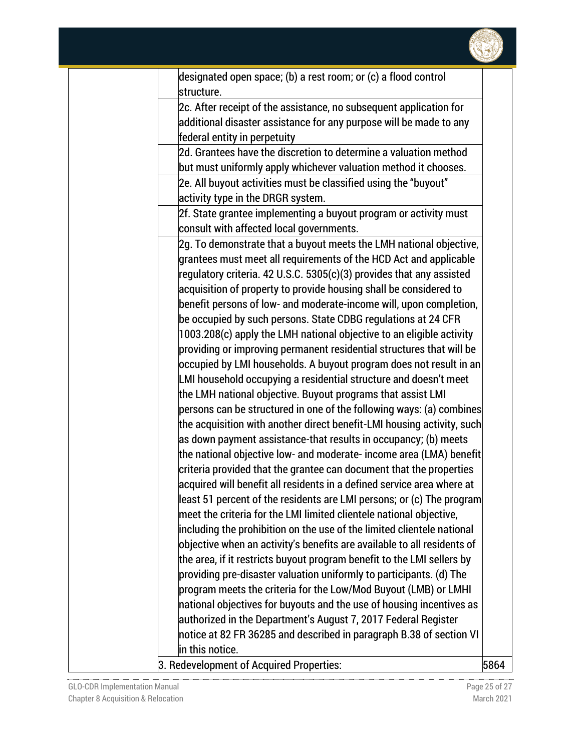

| designated open space; (b) a rest room; or (c) a flood control<br>structure. |      |
|------------------------------------------------------------------------------|------|
| 2c. After receipt of the assistance, no subsequent application for           |      |
| additional disaster assistance for any purpose will be made to any           |      |
| federal entity in perpetuity                                                 |      |
| $\rm 2d.$ Grantees have the discretion to determine a valuation method       |      |
| but must uniformly apply whichever valuation method it chooses.              |      |
| 2e. All buyout activities must be classified using the "buyout"              |      |
| activity type in the DRGR system.                                            |      |
| 2f. State grantee implementing a buyout program or activity must             |      |
| consult with affected local governments.                                     |      |
| 2g. To demonstrate that a buyout meets the LMH national objective,           |      |
| grantees must meet all requirements of the HCD Act and applicable            |      |
| regulatory criteria. 42 U.S.C. 5305(c)(3) provides that any assisted         |      |
| acquisition of property to provide housing shall be considered to            |      |
| benefit persons of low- and moderate-income will, upon completion,           |      |
| be occupied by such persons. State CDBG regulations at 24 CFR                |      |
| 1003.208(c) apply the LMH national objective to an eligible activity         |      |
| providing or improving permanent residential structures that will be         |      |
| occupied by LMI households. A buyout program does not result in an           |      |
| LMI household occupying a residential structure and doesn't meet             |      |
| the LMH national objective. Buyout programs that assist LMI                  |      |
| persons can be structured in one of the following ways: (a) combines         |      |
| the acquisition with another direct benefit-LMI housing activity, such       |      |
| as down payment assistance-that results in occupancy; (b) meets              |      |
| the national objective low- and moderate- income area (LMA) benefit          |      |
| criteria provided that the grantee can document that the properties          |      |
| acquired will benefit all residents in a defined service area where at       |      |
| least 51 percent of the residents are LMI persons; or (c) The program        |      |
| meet the criteria for the LMI limited clientele national objective,          |      |
| including the prohibition on the use of the limited clientele national       |      |
| objective when an activity's benefits are available to all residents of      |      |
| the area, if it restricts buyout program benefit to the LMI sellers by       |      |
| providing pre-disaster valuation uniformly to participants. (d) The          |      |
| program meets the criteria for the Low/Mod Buyout (LMB) or LMHI              |      |
| national objectives for buyouts and the use of housing incentives as         |      |
| authorized in the Department's August 7, 2017 Federal Register               |      |
| notice at 82 FR 36285 and described in paragraph B.38 of section VI          |      |
| in this notice.                                                              |      |
| 3. Redevelopment of Acquired Properties:                                     | 5864 |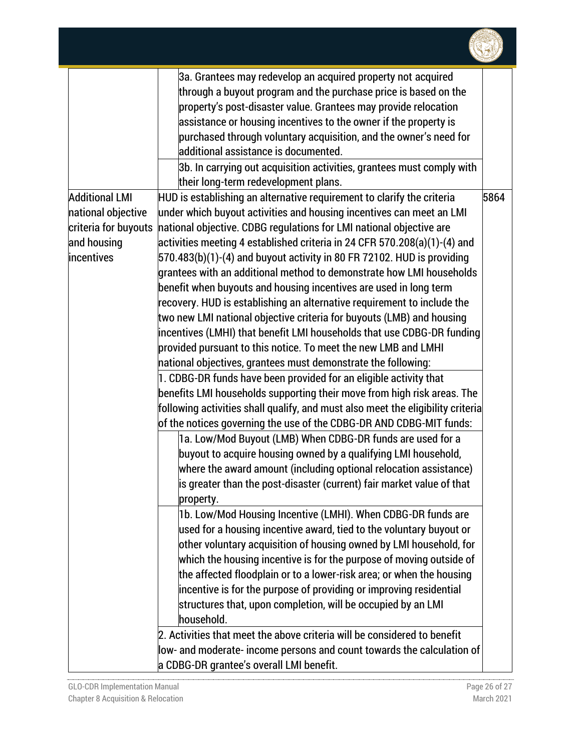

| 3a. Grantees may redevelop an acquired property not acquired                                    |      |
|-------------------------------------------------------------------------------------------------|------|
| through a buyout program and the purchase price is based on the                                 |      |
| property's post-disaster value. Grantees may provide relocation                                 |      |
| assistance or housing incentives to the owner if the property is                                |      |
| purchased through voluntary acquisition, and the owner's need for                               |      |
| additional assistance is documented.                                                            |      |
| 3b. In carrying out acquisition activities, grantees must comply with                           |      |
| their long-term redevelopment plans.                                                            |      |
| <b>Additional LMI</b><br>HUD is establishing an alternative requirement to clarify the criteria | 5864 |
| under which buyout activities and housing incentives can meet an LMI<br>national objective      |      |
| national objective. CDBG regulations for LMI national objective are<br>criteria for buyouts     |      |
| and housing<br>activities meeting 4 established criteria in 24 CFR 570.208(a)(1)-(4) and        |      |
| 570.483(b)(1)-(4) and buyout activity in 80 FR 72102. HUD is providing<br>incentives            |      |
| grantees with an additional method to demonstrate how LMI households                            |      |
| benefit when buyouts and housing incentives are used in long term                               |      |
| recovery. HUD is establishing an alternative requirement to include the                         |      |
| two new LMI national objective criteria for buyouts (LMB) and housing                           |      |
| incentives (LMHI) that benefit LMI households that use CDBG-DR funding                          |      |
| provided pursuant to this notice. To meet the new LMB and LMHI                                  |      |
| national objectives, grantees must demonstrate the following:                                   |      |
| 1. CDBG-DR funds have been provided for an eligible activity that                               |      |
| benefits LMI households supporting their move from high risk areas. The                         |      |
| following activities shall qualify, and must also meet the eligibility criteria                 |      |
| of the notices governing the use of the CDBG-DR AND CDBG-MIT funds:                             |      |
| 1a. Low/Mod Buyout (LMB) When CDBG-DR funds are used for a                                      |      |
| buyout to acquire housing owned by a qualifying LMI household,                                  |      |
| where the award amount (including optional relocation assistance)                               |      |
| is greater than the post-disaster (current) fair market value of that                           |      |
| property.                                                                                       |      |
| 1b. Low/Mod Housing Incentive (LMHI). When CDBG-DR funds are                                    |      |
| used for a housing incentive award, tied to the voluntary buyout or                             |      |
| other voluntary acquisition of housing owned by LMI household, for                              |      |
| which the housing incentive is for the purpose of moving outside of                             |      |
| the affected floodplain or to a lower-risk area; or when the housing                            |      |
| incentive is for the purpose of providing or improving residential                              |      |
| structures that, upon completion, will be occupied by an LMI                                    |      |
| household.                                                                                      |      |
| 2. Activities that meet the above criteria will be considered to benefit                        |      |
| low- and moderate- income persons and count towards the calculation of                          |      |
| a CDBG-DR grantee's overall LMI benefit.                                                        |      |